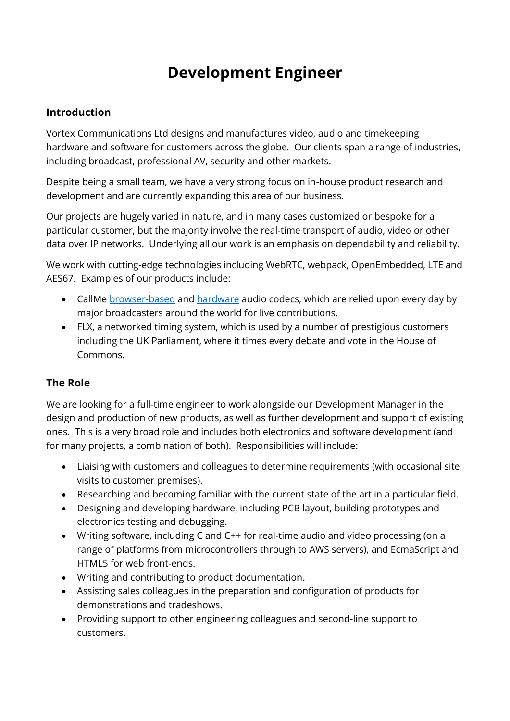# **Development Engineer**

#### **Introduction**

Vortex Communications Ltd designs and manufactures video, audio and timekeeping hardware and software for customers across the globe. Our clients span a range of industries, including broadcast, professional AV, security and other markets.

Despite being a small team, we have a very strong focus on in-house product research and development and are currently expanding this area of our business.

Our projects are hugely varied in nature, and in many cases customized or bespoke for a particular customer, but the majority involve the real-time transport of audio, video or other data over IP networks. Underlying all our work is an emphasis on dependability and reliability.

We work with cutting-edge technologies including WebRTC, webpack, OpenEmbedded, LTE and AES67. Examples of our products include:

- CallMe [browser-based](https://callme.fm/ealing1048) and [hardware](https://vtx.uk/callme-t) audio codecs, which are relied upon every day by major broadcasters around the world for live contributions.
- FLX, a networked timing system, which is used by a number of prestigious customers including the UK Parliament, where it times every debate and vote in the House of Commons.

### **The Role**

We are looking for a full-time engineer to work alongside our Development Manager in the design and production of new products, as well as further development and support of existing ones. This is a very broad role and includes both electronics and software development (and for many projects, a combination of both). Responsibilities will include:

- Liaising with customers and colleagues to determine requirements (with occasional site visits to customer premises).
- Researching and becoming familiar with the current state of the art in a particular field.
- Designing and developing hardware, including PCB layout, building prototypes and electronics testing and debugging.
- Writing software, including C and C++ for real-time audio and video processing (on a range of platforms from microcontrollers through to AWS servers), and EcmaScript and HTML5 for web front-ends.
- Writing and contributing to product documentation.
- Assisting sales colleagues in the preparation and configuration of products for demonstrations and tradeshows.
- Providing support to other engineering colleagues and second-line support to customers.